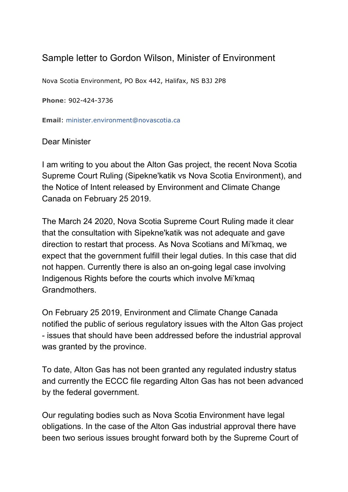## Sample letter to Gordon Wilson, Minister of Environment

Nova Scotia Environment, PO Box 442, Halifax, NS B3J 2P8

**Phone**: 902-424-3736

**Email**: minister.environment@novascotia.ca

Dear Minister

I am writing to you about the Alton Gas project, the recent Nova Scotia Supreme Court Ruling (Sipekne'katik vs Nova Scotia Environment), and the Notice of Intent released by Environment and Climate Change Canada on February 25 2019.

The March 24 2020, Nova Scotia Supreme Court Ruling made it clear that the consultation with Sipekne'katik was not adequate and gave direction to restart that process. As Nova Scotians and Mi'kmaq, we expect that the government fulfill their legal duties. In this case that did not happen. Currently there is also an on-going legal case involving Indigenous Rights before the courts which involve Mi'kmaq Grandmothers.

On February 25 2019, Environment and Climate Change Canada notified the public of serious regulatory issues with the Alton Gas project - issues that should have been addressed before the industrial approval was granted by the province.

To date, Alton Gas has not been granted any regulated industry status and currently the ECCC file regarding Alton Gas has not been advanced by the federal government.

Our regulating bodies such as Nova Scotia Environment have legal obligations. In the case of the Alton Gas industrial approval there have been two serious issues brought forward both by the Supreme Court of